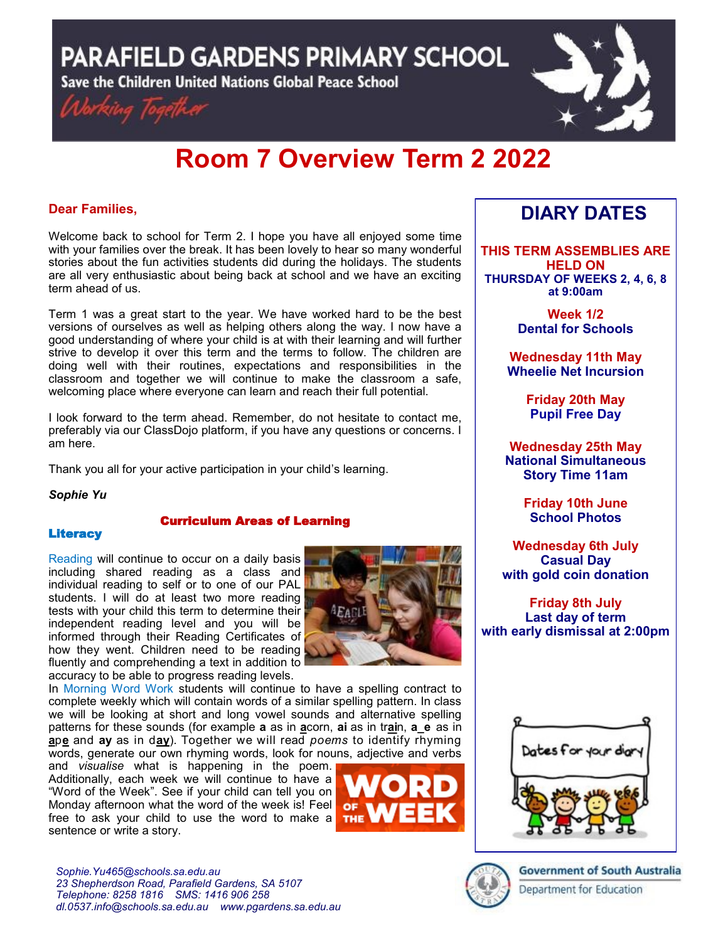**PARAFIELD GARDENS PRIMARY SCHOOL** 

Save the Children United Nations Global Peace School





# **Room 7 Overview Term 2 2022**

# **Dear Families,**

Welcome back to school for Term 2. I hope you have all enjoyed some time with your families over the break. It has been lovely to hear so many wonderful stories about the fun activities students did during the holidays. The students are all very enthusiastic about being back at school and we have an exciting term ahead of us.

Term 1 was a great start to the year. We have worked hard to be the best versions of ourselves as well as helping others along the way. I now have a good understanding of where your child is at with their learning and will further strive to develop it over this term and the terms to follow. The children are doing well with their routines, expectations and responsibilities in the classroom and together we will continue to make the classroom a safe, welcoming place where everyone can learn and reach their full potential.

I look forward to the term ahead. Remember, do not hesitate to contact me, preferably via our ClassDojo platform, if you have any questions or concerns. I am here.

Thank you all for your active participation in your child's learning.

*Sophie Yu*

## Curriculum Areas of Learning

## **Literacy**

Reading will continue to occur on a daily basis including shared reading as a class and individual reading to self or to one of our PAL students. I will do at least two more reading tests with your child this term to determine their independent reading level and you will be informed through their Reading Certificates of how they went. Children need to be reading fluently and comprehending a text in addition to accuracy to be able to progress reading levels.



In Morning Word Work students will continue to have a spelling contract to complete weekly which will contain words of a similar spelling pattern. In class we will be looking at short and long vowel sounds and alternative spelling patterns for these sounds (for example **a** as in **a**corn, **ai** as in tr**ai**n, **a\_e** as in **a**p**e** and **ay** as in d**ay**). Together we will read *poems* to identify rhyming words, generate our own rhyming words, look for nouns, adjective and verbs

and *visualise* what is happening in the poem. Additionally, each week we will continue to have a "Word of the Week". See if your child can tell you on Monday afternoon what the word of the week is! Feel or free to ask your child to use the word to make a THE sentence or write a story.



# **DIARY DATES**

**THIS TERM ASSEMBLIES ARE HELD ON THURSDAY OF WEEKS 2, 4, 6, 8 at 9:00am** 

> **Week 1/2 Dental for Schools**

**Wednesday 11th May Wheelie Net Incursion**

> **Friday 20th May Pupil Free Day**

**Wednesday 25th May National Simultaneous Story Time 11am**

> **Friday 10th June School Photos**

**Wednesday 6th July Casual Day with gold coin donation**

**Friday 8th July Last day of term with early dismissal at 2:00pm**



**Government of South Australia** Department for Education

*Sophie.Yu465@schools.sa.edu.au 23 Shepherdson Road, Parafield Gardens, SA 5107 Telephone: 8258 1816 [SMS: 1](http://www.youtube.com/user/ParafieldGR7)416 906 258 dl.[0537.info@schools.sa.edu.au](mailto:dl.0537_info@schools.sa.edu.au) www.pgardens.sa.edu.au*